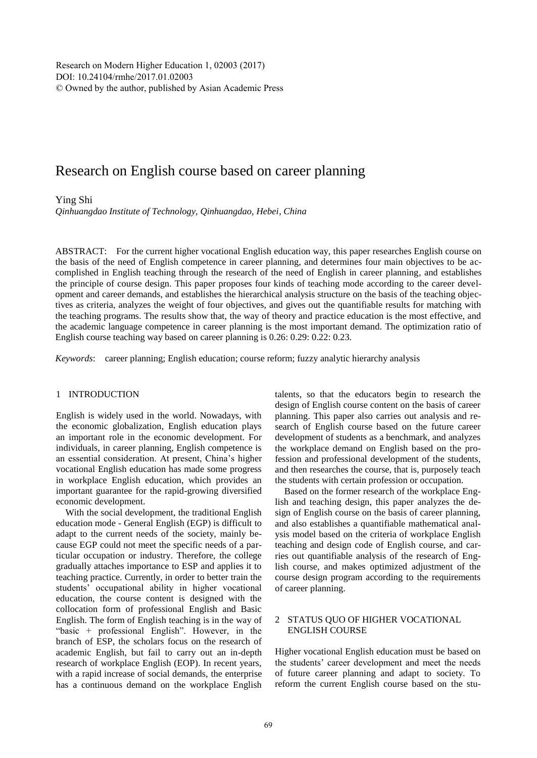Research on Modern Higher Education 1, 02003 (2017) DOI: 10.24104/rmhe/2017.01.02003 © Owned by the author, published by Asian Academic Press

# Research on English course based on career planning

# Ying Shi

*Qinhuangdao Institute of Technology, Qinhuangdao, Hebei, China*

ABSTRACT: For the current higher vocational English education way, this paper researches English course on the basis of the need of English competence in career planning, and determines four main objectives to be accomplished in English teaching through the research of the need of English in career planning, and establishes the principle of course design. This paper proposes four kinds of teaching mode according to the career development and career demands, and establishes the hierarchical analysis structure on the basis of the teaching objectives as criteria, analyzes the weight of four objectives, and gives out the quantifiable results for matching with the teaching programs. The results show that, the way of theory and practice education is the most effective, and the academic language competence in career planning is the most important demand. The optimization ratio of English course teaching way based on career planning is 0.26: 0.29: 0.22: 0.23.

*Keywords*: career planning; English education; course reform; fuzzy analytic hierarchy analysis

# 1 INTRODUCTION

English is widely used in the world. Nowadays, with the economic globalization, English education plays an important role in the economic development. For individuals, in career planning, English competence is an essential consideration. At present, China's higher vocational English education has made some progress in workplace English education, which provides an important guarantee for the rapid-growing diversified economic development.

With the social development, the traditional English education mode - General English (EGP) is difficult to adapt to the current needs of the society, mainly because EGP could not meet the specific needs of a particular occupation or industry. Therefore, the college gradually attaches importance to ESP and applies it to teaching practice. Currently, in order to better train the students' occupational ability in higher vocational education, the course content is designed with the collocation form of professional English and Basic English. The form of English teaching is in the way of "basic + professional English". However, in the branch of ESP, the scholars focus on the research of academic English, but fail to carry out an in-depth research of workplace English (EOP). In recent years, with a rapid increase of social demands, the enterprise has a continuous demand on the workplace English

talents, so that the educators begin to research the design of English course content on the basis of career planning. This paper also carries out analysis and research of English course based on the future career development of students as a benchmark, and analyzes the workplace demand on English based on the profession and professional development of the students, and then researches the course, that is, purposely teach the students with certain profession or occupation.

Based on the former research of the workplace English and teaching design, this paper analyzes the design of English course on the basis of career planning, and also establishes a quantifiable mathematical analysis model based on the criteria of workplace English teaching and design code of English course, and carries out quantifiable analysis of the research of English course, and makes optimized adjustment of the course design program according to the requirements of career planning.

## 2 STATUS QUO OF HIGHER VOCATIONAL ENGLISH COURSE

Higher vocational English education must be based on the students' career development and meet the needs of future career planning and adapt to society. To reform the current English course based on the stu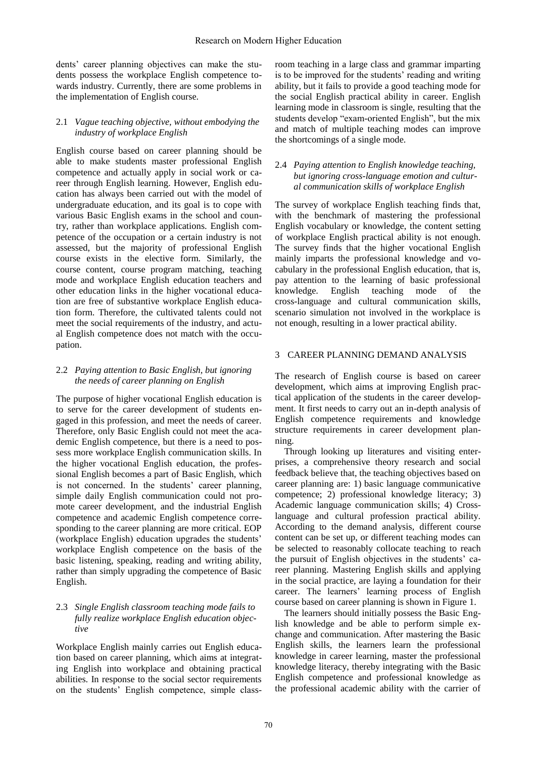dents' career planning objectives can make the students possess the workplace English competence towards industry. Currently, there are some problems in the implementation of English course.

## 2.1 *Vague teaching objective, without embodying the industry of workplace English*

English course based on career planning should be able to make students master professional English competence and actually apply in social work or career through English learning. However, English education has always been carried out with the model of undergraduate education, and its goal is to cope with various Basic English exams in the school and country, rather than workplace applications. English competence of the occupation or a certain industry is not assessed, but the majority of professional English course exists in the elective form. Similarly, the course content, course program matching, teaching mode and workplace English education teachers and other education links in the higher vocational education are free of substantive workplace English education form. Therefore, the cultivated talents could not meet the social requirements of the industry, and actual English competence does not match with the occupation.

# 2.2 *Paying attention to Basic English, but ignoring the needs of career planning on English*

The purpose of higher vocational English education is to serve for the career development of students engaged in this profession, and meet the needs of career. Therefore, only Basic English could not meet the academic English competence, but there is a need to possess more workplace English communication skills. In the higher vocational English education, the professional English becomes a part of Basic English, which is not concerned. In the students' career planning, simple daily English communication could not promote career development, and the industrial English competence and academic English competence corresponding to the career planning are more critical. EOP (workplace English) education upgrades the students' workplace English competence on the basis of the basic listening, speaking, reading and writing ability, rather than simply upgrading the competence of Basic English.

### 2.3 *Single English classroom teaching mode fails to fully realize workplace English education objective*

Workplace English mainly carries out English education based on career planning, which aims at integrating English into workplace and obtaining practical abilities. In response to the social sector requirements on the students' English competence, simple classroom teaching in a large class and grammar imparting is to be improved for the students' reading and writing ability, but it fails to provide a good teaching mode for the social English practical ability in career. English learning mode in classroom is single, resulting that the students develop "exam-oriented English", but the mix and match of multiple teaching modes can improve the shortcomings of a single mode.

## 2.4 *Paying attention to English knowledge teaching, but ignoring cross-language emotion and cultural communication skills of workplace English*

The survey of workplace English teaching finds that, with the benchmark of mastering the professional English vocabulary or knowledge, the content setting of workplace English practical ability is not enough. The survey finds that the higher vocational English mainly imparts the professional knowledge and vocabulary in the professional English education, that is, pay attention to the learning of basic professional knowledge. English teaching mode of the cross-language and cultural communication skills, scenario simulation not involved in the workplace is not enough, resulting in a lower practical ability.

# 3 CAREER PLANNING DEMAND ANALYSIS

The research of English course is based on career development, which aims at improving English practical application of the students in the career development. It first needs to carry out an in-depth analysis of English competence requirements and knowledge structure requirements in career development planning.

Through looking up literatures and visiting enterprises, a comprehensive theory research and social feedback believe that, the teaching objectives based on career planning are: 1) basic language communicative competence; 2) professional knowledge literacy; 3) Academic language communication skills; 4) Crosslanguage and cultural profession practical ability. According to the demand analysis, different course content can be set up, or different teaching modes can be selected to reasonably collocate teaching to reach the pursuit of English objectives in the students' career planning. Mastering English skills and applying in the social practice, are laying a foundation for their career. The learners' learning process of English course based on career planning is shown in Figure 1.

The learners should initially possess the Basic English knowledge and be able to perform simple exchange and communication. After mastering the Basic English skills, the learners learn the professional knowledge in career learning, master the professional knowledge literacy, thereby integrating with the Basic English competence and professional knowledge as the professional academic ability with the carrier of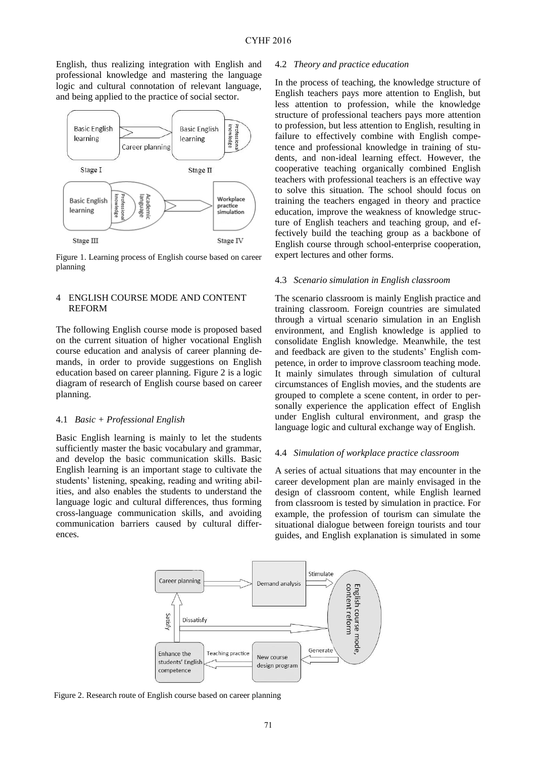English, thus realizing integration with English and professional knowledge and mastering the language logic and cultural connotation of relevant language, and being applied to the practice of social sector.



Figure 1. Learning process of English course based on career planning

### 4 ENGLISH COURSE MODE AND CONTENT REFORM

The following English course mode is proposed based on the current situation of higher vocational English course education and analysis of career planning demands, in order to provide suggestions on English education based on career planning. Figure 2 is a logic diagram of research of English course based on career planning.

# 4.1 *Basic + Professional English*

Basic English learning is mainly to let the students sufficiently master the basic vocabulary and grammar, and develop the basic communication skills. Basic English learning is an important stage to cultivate the students' listening, speaking, reading and writing abilities, and also enables the students to understand the language logic and cultural differences, thus forming cross-language communication skills, and avoiding communication barriers caused by cultural differences.

#### 4.2 *Theory and practice education*

In the process of teaching, the knowledge structure of English teachers pays more attention to English, but less attention to profession, while the knowledge structure of professional teachers pays more attention to profession, but less attention to English, resulting in failure to effectively combine with English competence and professional knowledge in training of students, and non-ideal learning effect. However, the cooperative teaching organically combined English teachers with professional teachers is an effective way to solve this situation. The school should focus on training the teachers engaged in theory and practice education, improve the weakness of knowledge structure of English teachers and teaching group, and effectively build the teaching group as a backbone of English course through school-enterprise cooperation, expert lectures and other forms.

#### 4.3 *Scenario simulation in English classroom*

The scenario classroom is mainly English practice and training classroom. Foreign countries are simulated through a virtual scenario simulation in an English environment, and English knowledge is applied to consolidate English knowledge. Meanwhile, the test and feedback are given to the students' English competence, in order to improve classroom teaching mode. It mainly simulates through simulation of cultural circumstances of English movies, and the students are grouped to complete a scene content, in order to personally experience the application effect of English under English cultural environment, and grasp the language logic and cultural exchange way of English.

#### 4.4 *Simulation of workplace practice classroom*

A series of actual situations that may encounter in the career development plan are mainly envisaged in the design of classroom content, while English learned from classroom is tested by simulation in practice. For example, the profession of tourism can simulate the situational dialogue between foreign tourists and tour guides, and English explanation is simulated in some



Figure 2. Research route of English course based on career planning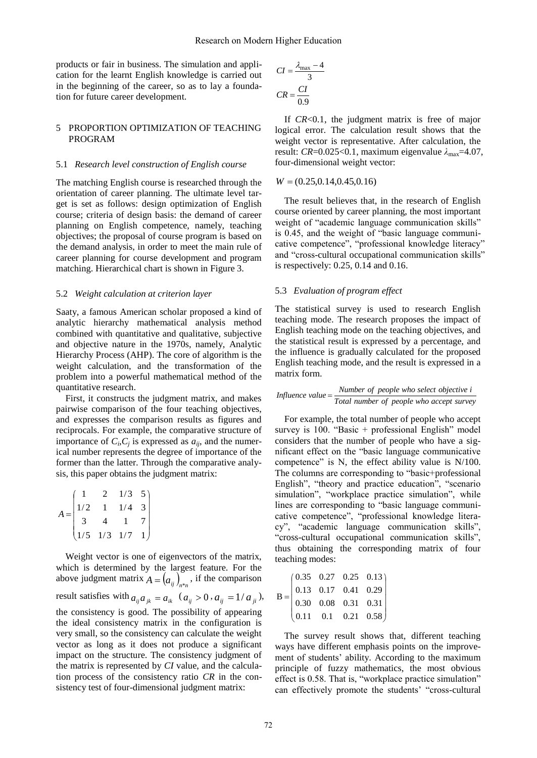products or fair in business. The simulation and application for the learnt English knowledge is carried out in the beginning of the career, so as to lay a foundation for future career development.

## 5 PROPORTION OPTIMIZATION OF TEACHING PROGRAM

#### 5.1 *Research level construction of English course*

The matching English course is researched through the orientation of career planning. The ultimate level target is set as follows: design optimization of English course; criteria of design basis: the demand of career planning on English competence, namely, teaching objectives; the proposal of course program is based on the demand analysis, in order to meet the main rule of career planning for course development and program matching. Hierarchical chart is shown in Figure 3.

#### 5.2 *Weight calculation at criterion layer*

Saaty, a famous American scholar proposed a kind of analytic hierarchy mathematical analysis method combined with quantitative and qualitative, subjective and objective nature in the 1970s, namely, Analytic Hierarchy Process (AHP). The core of algorithm is the weight calculation, and the transformation of the problem into a powerful mathematical method of the quantitative research.

First, it constructs the judgment matrix, and makes pairwise comparison of the four teaching objectives, and expresses the comparison results as figures and reciprocals. For example, the comparative structure of importance of  $C_i$ ,  $C_j$  is expressed as  $a_{ij}$ , and the numerical number represents the degree of importance of the former than the latter. Through the comparative analysis, this paper obtains the judgment matrix:

|  | $A = \begin{pmatrix} 1 & 2 & 1/3 & 5 \\ 1/2 & 1 & 1/4 & 3 \\ 3 & 4 & 1 & 7 \\ 1/5 & 1/3 & 1/7 & 1 \end{pmatrix}$ |  |
|--|------------------------------------------------------------------------------------------------------------------|--|

Weight vector is one of eigenvectors of the matrix, which is determined by the largest feature. For the above judgment matrix  $A = (a_{ij})_{n=n}$ , if the comparison  $\begin{pmatrix} 0.35 & 0.2 \\ 0.12 & 0.1 \end{pmatrix}$ result satisfies with  $a_{ij}a_{jk} = a_{ik}$   $(a_{ij} > 0, a_{ij} = 1/a_{ji})$ ,  $B = \begin{bmatrix} 0.15 & 0.17 & 0.41 & 0.25 \\ 0.30 & 0.08 & 0.31 & 0.31 \end{bmatrix}$ the consistency is good. The possibility of appearing the ideal consistency matrix in the configuration is very small, so the consistency can calculate the weight vector as long as it does not produce a significant impact on the structure. The consistency judgment of the matrix is represented by *CI* value, and the calculation process of the consistency ratio *CR* in the consistency test of four-dimensional judgment matrix:

$$
CI = \frac{\lambda_{\text{max}} - 4}{3}
$$

$$
CR = \frac{CI}{0.9}
$$

If *CR*<0.1, the judgment matrix is free of major logical error. The calculation result shows that the weight vector is representative. After calculation, the result:  $CR = 0.025 < 0.1$ , maximum eigenvalue  $\lambda_{\text{max}} = 4.07$ , four-dimensional weight vector:

$$
W = (0.25, 0.14, 0.45, 0.16)
$$

The result believes that, in the research of English course oriented by career planning, the most important weight of "academic language communication skills" is 0.45, and the weight of "basic language communicative competence", "professional knowledge literacy" and "cross-cultural occupational communication skills" is respectively: 0.25, 0.14 and 0.16.

#### 5.3 *Evaluation of program effect*

The statistical survey is used to research English teaching mode. The research proposes the impact of English teaching mode on the teaching objectives, and the statistical result is expressed by a percentage, and the influence is gradually calculated for the proposed English teaching mode, and the result is expressed in a matrix form.

Equation, the total number of people who select objective

\nInfluence value = 
$$
\frac{Number of people who select objective i \cdot Total number of people who accept survey}
$$

1970s, namely, Analyton and the matrix the core of algorithm is the the influence is gradually calculated for the proportance terms<br>formation of the English teaching mode, and the result is expressed uthe<br>matrix and makes For example, the total number of people who accept survey is  $100$ . "Basic + professional English" model considers that the number of people who have a significant effect on the "basic language communicative competence" is N, the effect ability value is N/100. The columns are corresponding to "basic+professional English", "theory and practice education", "scenario simulation", "workplace practice simulation", while lines are corresponding to "basic language communicative competence", "professional knowledge literacy", "academic language communication skills", "cross-cultural occupational communication skills", thus obtaining the corresponding matrix of four teaching modes:

| $B = \begin{pmatrix} 0.35 & 0.27 & 0.25 & 0.13 \\ 0.13 & 0.17 & 0.41 & 0.29 \\ 0.30 & 0.08 & 0.31 & 0.31 \\ 0.11 & 0.1 & 0.21 & 0.58 \end{pmatrix}$ |  |  |
|-----------------------------------------------------------------------------------------------------------------------------------------------------|--|--|
|                                                                                                                                                     |  |  |
|                                                                                                                                                     |  |  |
|                                                                                                                                                     |  |  |

The survey result shows that, different teaching ways have different emphasis points on the improvement of students' ability. According to the maximum principle of fuzzy mathematics, the most obvious effect is 0.58. That is, "workplace practice simulation" can effectively promote the students' "cross-cultural